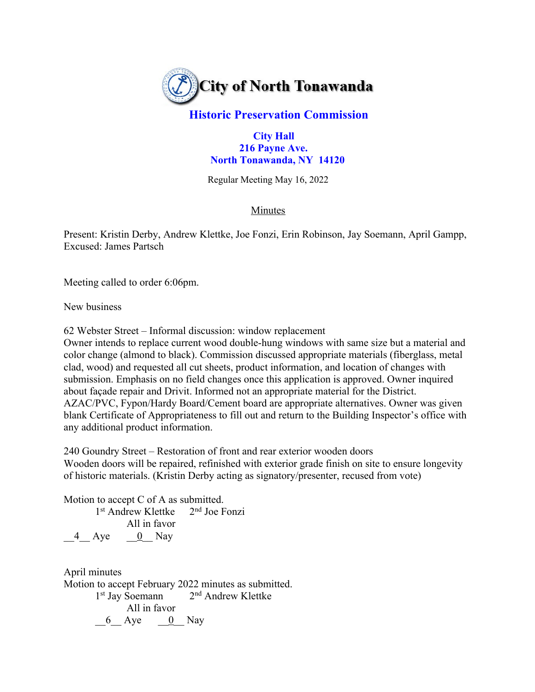

## **Historic Preservation Commission**

 **City Hall 216 Payne Ave. North Tonawanda, NY 14120**

Regular Meeting May 16, 2022

## Minutes

Present: Kristin Derby, Andrew Klettke, Joe Fonzi, Erin Robinson, Jay Soemann, April Gampp, Excused: James Partsch

Meeting called to order 6:06pm.

New business

62 Webster Street – Informal discussion: window replacement

Owner intends to replace current wood double-hung windows with same size but a material and color change (almond to black). Commission discussed appropriate materials (fiberglass, metal clad, wood) and requested all cut sheets, product information, and location of changes with submission. Emphasis on no field changes once this application is approved. Owner inquired about façade repair and Drivit. Informed not an appropriate material for the District. AZAC/PVC, Fypon/Hardy Board/Cement board are appropriate alternatives. Owner was given blank Certificate of Appropriateness to fill out and return to the Building Inspector's office with any additional product information.

240 Goundry Street – Restoration of front and rear exterior wooden doors Wooden doors will be repaired, refinished with exterior grade finish on site to ensure longevity of historic materials. (Kristin Derby acting as signatory/presenter, recused from vote)

Motion to accept C of A as submitted.

1st Andrew Klettke 2nd Joe Fonzi All in favor 4 Aye  $\qquad \qquad \underline{0}$  Nay

April minutes Motion to accept February 2022 minutes as submitted. 1<sup>st</sup> Jay Soemann 2<sup>nd</sup> Andrew Klettke All in favor  $6$  Aye  $0$  Nay